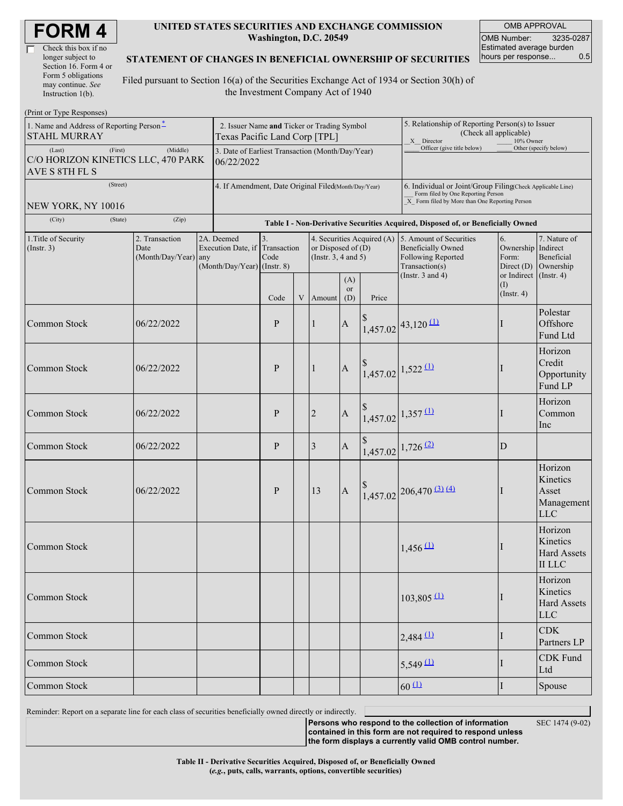| <b>FORM4</b> |  |
|--------------|--|
|--------------|--|

| Check this box if no  |
|-----------------------|
| longer subject to     |
| Section 16. Form 4 or |
| Form 5 obligations    |
| may continue. See     |
| Instruction 1(b).     |

#### **UNITED STATES SECURITIES AND EXCHANGE COMMISSION Washington, D.C. 20549**

OMB APPROVAL OMB Number: 3235-0287 Estimated average burden hours per response... 0.5

#### **STATEMENT OF CHANGES IN BENEFICIAL OWNERSHIP OF SECURITIES**

Filed pursuant to Section 16(a) of the Securities Exchange Act of 1934 or Section 30(h) of the Investment Company Act of 1940

| (Print or Type Responses)                                                   |                                                                              |                                                                               |                                                                                  |             |                                                                                       |                  |                                                                                                       |                                                                                                                                                      |                         |                                                                                         |  |
|-----------------------------------------------------------------------------|------------------------------------------------------------------------------|-------------------------------------------------------------------------------|----------------------------------------------------------------------------------|-------------|---------------------------------------------------------------------------------------|------------------|-------------------------------------------------------------------------------------------------------|------------------------------------------------------------------------------------------------------------------------------------------------------|-------------------------|-----------------------------------------------------------------------------------------|--|
| 1. Name and Address of Reporting Person <sup>*</sup><br><b>STAHL MURRAY</b> | 2. Issuer Name and Ticker or Trading Symbol<br>Texas Pacific Land Corp [TPL] |                                                                               |                                                                                  |             |                                                                                       |                  | 5. Relationship of Reporting Person(s) to Issuer<br>(Check all applicable)<br>X Director<br>10% Owner |                                                                                                                                                      |                         |                                                                                         |  |
| (First)<br>(Last)<br>C/O HORIZON KINETICS LLC, 470 PARK<br>AVE S 8TH FL S   | 3. Date of Earliest Transaction (Month/Day/Year)<br>06/22/2022               |                                                                               |                                                                                  |             |                                                                                       |                  | Officer (give title below)                                                                            |                                                                                                                                                      | Other (specify below)   |                                                                                         |  |
| (Street)<br>NEW YORK, NY 10016                                              | 4. If Amendment, Date Original Filed(Month/Day/Year)                         |                                                                               |                                                                                  |             |                                                                                       |                  |                                                                                                       | 6. Individual or Joint/Group Filing(Check Applicable Line)<br>Form filed by One Reporting Person<br>X Form filed by More than One Reporting Person   |                         |                                                                                         |  |
| (City)<br>(State)                                                           | (Zip)                                                                        |                                                                               | Table I - Non-Derivative Securities Acquired, Disposed of, or Beneficially Owned |             |                                                                                       |                  |                                                                                                       |                                                                                                                                                      |                         |                                                                                         |  |
| 1. Title of Security<br>(Insert. 3)                                         | 2. Transaction<br>Date<br>(Month/Day/Year) any                               | 2A. Deemed<br>Execution Date, if Transaction<br>$(Month/Day/Year)$ (Instr. 8) | 3.<br>Code                                                                       |             | 4. Securities Acquired (A)<br>or Disposed of $(D)$<br>(Instr. $3, 4$ and $5$ )<br>(A) |                  |                                                                                                       | 5. Amount of Securities<br>6.<br><b>Beneficially Owned</b><br>Following Reported<br>Form:<br>Transaction(s)<br>Direct $(D)$<br>(Instr. $3$ and $4$ ) |                         | 7. Nature of<br>Ownership Indirect<br>Beneficial<br>Ownership<br>or Indirect (Instr. 4) |  |
|                                                                             |                                                                              |                                                                               | Code                                                                             | $\mathbf V$ | Amount                                                                                | <b>or</b><br>(D) | Price                                                                                                 |                                                                                                                                                      | (I)<br>$($ Instr. 4 $)$ |                                                                                         |  |
| Common Stock                                                                | 06/22/2022                                                                   |                                                                               | P                                                                                |             | $\mathbf{1}$                                                                          | $\mathbf{A}$     |                                                                                                       | $1,457.02$ 43,120 (1)                                                                                                                                |                         | Polestar<br>Offshore<br>Fund Ltd                                                        |  |
| <b>Common Stock</b>                                                         | 06/22/2022                                                                   |                                                                               | P                                                                                |             | $\mathbf{1}$                                                                          | $\mathbf{A}$     |                                                                                                       | $1,457.02$ 1,522 (1)                                                                                                                                 |                         | Horizon<br>Credit<br>Opportunity<br>Fund LP                                             |  |
| Common Stock                                                                | 06/22/2022                                                                   |                                                                               | $\mathbf{P}$                                                                     |             | $\overline{2}$                                                                        | $\mathbf{A}$     |                                                                                                       | $1,457.02$ 1,357 (1)                                                                                                                                 |                         | Horizon<br>Common<br>Inc                                                                |  |
| Common Stock                                                                | 06/22/2022                                                                   |                                                                               | $\mathbf{P}$                                                                     |             | 3                                                                                     | $\boldsymbol{A}$ |                                                                                                       | $1,457.02$ 1,726 (2)                                                                                                                                 | D                       |                                                                                         |  |
| Common Stock                                                                | 06/22/2022                                                                   |                                                                               | P                                                                                |             | 13                                                                                    | $\mathbf{A}$     |                                                                                                       | $1,457.02$ 206,470 (3) (4)                                                                                                                           |                         | Horizon<br>Kinetics<br>Asset<br>Management<br><b>LLC</b>                                |  |
| Common Stock                                                                |                                                                              |                                                                               |                                                                                  |             |                                                                                       |                  |                                                                                                       | $1,456$ <sup>(1)</sup>                                                                                                                               |                         | Horizon<br>Kinetics<br><b>Hard Assets</b><br><b>II LLC</b>                              |  |
| Common Stock                                                                |                                                                              |                                                                               |                                                                                  |             |                                                                                       |                  |                                                                                                       | $103,805$ <sup>(1)</sup>                                                                                                                             |                         | Horizon<br>Kinetics<br><b>Hard Assets</b><br><b>LLC</b>                                 |  |
| Common Stock                                                                |                                                                              |                                                                               |                                                                                  |             |                                                                                       |                  |                                                                                                       | $2,484$ <sup>(1)</sup>                                                                                                                               |                         | <b>CDK</b><br>Partners LP                                                               |  |
| Common Stock                                                                |                                                                              |                                                                               |                                                                                  |             |                                                                                       |                  |                                                                                                       | $5,549 \underline{11}$                                                                                                                               |                         | <b>CDK</b> Fund<br>Ltd                                                                  |  |
| Common Stock                                                                |                                                                              |                                                                               |                                                                                  |             |                                                                                       | $60 \Omega$      | I                                                                                                     | Spouse                                                                                                                                               |                         |                                                                                         |  |

Reminder: Report on a separate line for each class of securities beneficially owned directly or indirectly.

SEC 1474 (9-02)

**Persons who respond to the collection of information contained in this form are not required to respond unless the form displays a currently valid OMB control number.**

**Table II - Derivative Securities Acquired, Disposed of, or Beneficially Owned**

**(***e.g.***, puts, calls, warrants, options, convertible securities)**